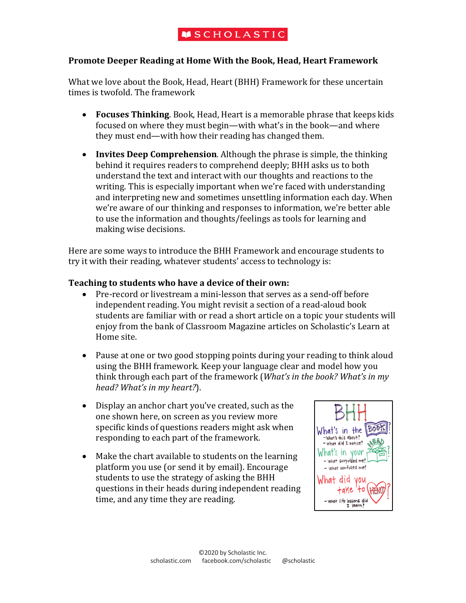# **MSCHOLASTIC**

### **Promote Deeper Reading at Home With the Book, Head, Heart Framework**

What we love about the Book, Head, Heart (BHH) Framework for these uncertain times is twofold. The framework

- **Focuses Thinking**. Book, Head, Heart is a memorable phrase that keeps kids focused on where they must begin—with what's in the book—and where they must end—with how their reading has changed them.
- **Invites Deep Comprehension**. Although the phrase is simple, the thinking behind it requires readers to comprehend deeply; BHH asks us to both understand the text and interact with our thoughts and reactions to the writing. This is especially important when we're faced with understanding and interpreting new and sometimes unsettling information each day. When we're aware of our thinking and responses to information, we're better able to use the information and thoughts/feelings as tools for learning and making wise decisions.

Here are some ways to introduce the BHH Framework and encourage students to try it with their reading, whatever students' access to technology is:

#### **Teaching to students who have a device of their own:**

- Pre-record or livestream a mini-lesson that serves as a send-off before independent reading. You might revisit a section of a read-aloud book students are familiar with or read a short article on a topic your students will enjoy from the bank of Classroom Magazine articles on Scholastic's Learn at Home site.
- Pause at one or two good stopping points during your reading to think aloud using the BHH framework. Keep your language clear and model how you think through each part of the framework (*What's in the book? What's in my head?* What's in my heart?).
- Display an anchor chart you've created, such as the one shown here, on screen as you review more specific kinds of questions readers might ask when responding to each part of the framework.
- Make the chart available to students on the learning platform you use (or send it by email). Encourage students to use the strategy of asking the BHH questions in their heads during independent reading time, and any time they are reading.